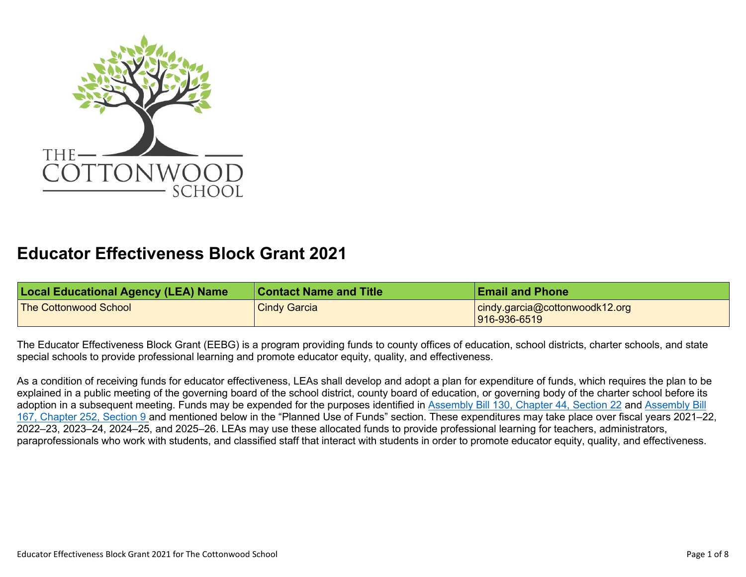

## **Educator Effectiveness Block Grant 2021**

| <b>Local Educational Agency (LEA) Name</b> | <b>Contact Name and Title</b> | <b>Email and Phone</b>                         |
|--------------------------------------------|-------------------------------|------------------------------------------------|
| <b>The Cottonwood School</b>               | <b>Cindy Garcia</b>           | cindy.garcia@cottonwoodk12.org<br>916-936-6519 |

The Educator Effectiveness Block Grant (EEBG) is a program providing funds to county offices of education, school districts, charter schools, and state special schools to provide professional learning and promote educator equity, quality, and effectiveness.

As a condition of receiving funds for educator effectiveness, LEAs shall develop and adopt a plan for expenditure of funds, which requires the plan to be explained in a public meeting of the governing board of the school district, county board of education, or governing body of the charter school before its adoption in a subsequent meeting. Funds may be expended for the purposes identified in Assembly Bill 130, Chapter 44, Section 22 and [Assembly Bill](https://leginfo.legislature.ca.gov/faces/billTextClient.xhtml?bill_id=202120220AB167) [167, Chapter 252, Section 9](https://leginfo.legislature.ca.gov/faces/billTextClient.xhtml?bill_id=202120220AB167) and mentioned below in the "Planned Use of Funds" section. These expenditures may take place over fiscal years 2021–22, 2022–23, 2023–24, 2024–25, and 2025–26. LEAs may use these allocated funds to provide professional learning for teachers, administrators, paraprofessionals who work with students, and classified staff that interact with students in order to promote educator equity, quality, and effectiveness.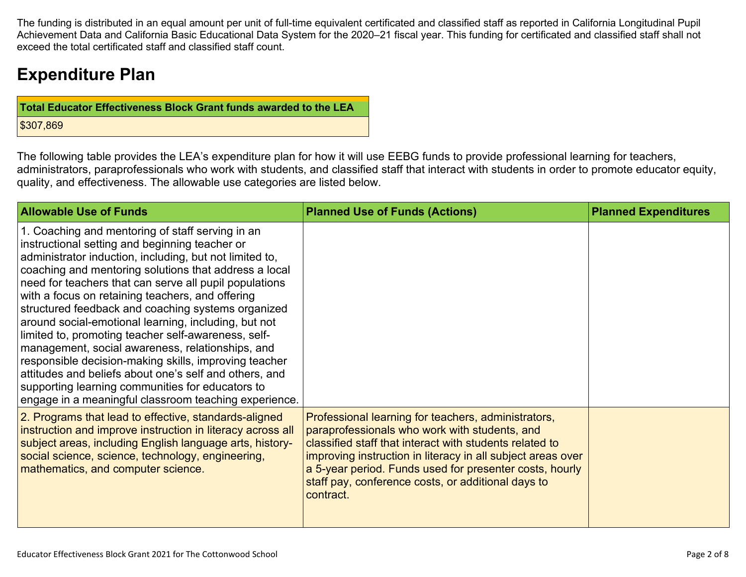The funding is distributed in an equal amount per unit of full-time equivalent certificated and classified staff as reported in California Longitudinal Pupil Achievement Data and California Basic Educational Data System for the 2020–21 fiscal year. This funding for certificated and classified staff shall not exceed the total certificated staff and classified staff count.

# **Expenditure Plan**

| <b>Total Educator Effectiveness Block Grant funds awarded to the LEA</b> |
|--------------------------------------------------------------------------|
| \$307,869                                                                |

The following table provides the LEA's expenditure plan for how it will use EEBG funds to provide professional learning for teachers, administrators, paraprofessionals who work with students, and classified staff that interact with students in order to promote educator equity, quality, and effectiveness. The allowable use categories are listed below.

| <b>Allowable Use of Funds</b>                                                                                                                                                                                                                                                                                                                                                                                                                                                                                                                                                                                                                                                                                                                                                                 | <b>Planned Use of Funds (Actions)</b>                                                                                                                                                                                                                                                                                                                        | <b>Planned Expenditures</b> |
|-----------------------------------------------------------------------------------------------------------------------------------------------------------------------------------------------------------------------------------------------------------------------------------------------------------------------------------------------------------------------------------------------------------------------------------------------------------------------------------------------------------------------------------------------------------------------------------------------------------------------------------------------------------------------------------------------------------------------------------------------------------------------------------------------|--------------------------------------------------------------------------------------------------------------------------------------------------------------------------------------------------------------------------------------------------------------------------------------------------------------------------------------------------------------|-----------------------------|
| 1. Coaching and mentoring of staff serving in an<br>instructional setting and beginning teacher or<br>administrator induction, including, but not limited to,<br>coaching and mentoring solutions that address a local<br>need for teachers that can serve all pupil populations<br>with a focus on retaining teachers, and offering<br>structured feedback and coaching systems organized<br>around social-emotional learning, including, but not<br>limited to, promoting teacher self-awareness, self-<br>management, social awareness, relationships, and<br>responsible decision-making skills, improving teacher<br>attitudes and beliefs about one's self and others, and<br>supporting learning communities for educators to<br>engage in a meaningful classroom teaching experience. |                                                                                                                                                                                                                                                                                                                                                              |                             |
| 2. Programs that lead to effective, standards-aligned<br>instruction and improve instruction in literacy across all<br>subject areas, including English language arts, history-<br>social science, science, technology, engineering,<br>mathematics, and computer science.                                                                                                                                                                                                                                                                                                                                                                                                                                                                                                                    | Professional learning for teachers, administrators,<br>paraprofessionals who work with students, and<br>classified staff that interact with students related to<br>improving instruction in literacy in all subject areas over<br>a 5-year period. Funds used for presenter costs, hourly<br>staff pay, conference costs, or additional days to<br>contract. |                             |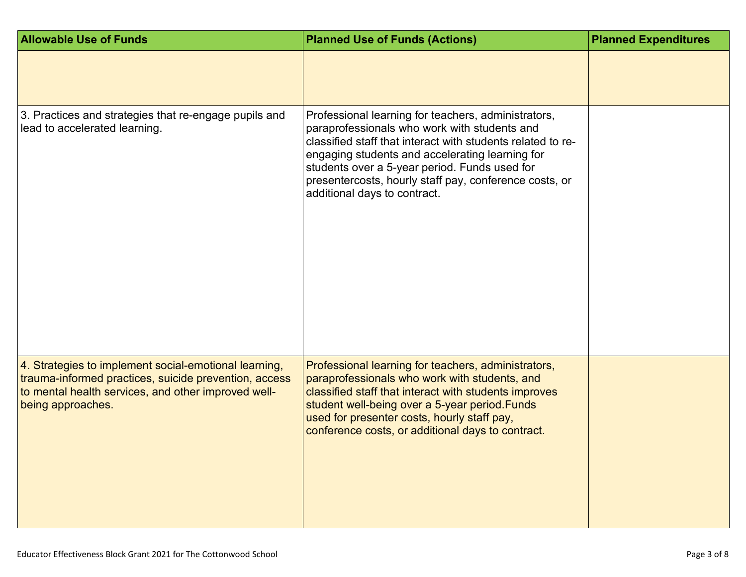| <b>Allowable Use of Funds</b>                                                                                                                                                              | <b>Planned Use of Funds (Actions)</b>                                                                                                                                                                                                                                                                                                                            | <b>Planned Expenditures</b> |
|--------------------------------------------------------------------------------------------------------------------------------------------------------------------------------------------|------------------------------------------------------------------------------------------------------------------------------------------------------------------------------------------------------------------------------------------------------------------------------------------------------------------------------------------------------------------|-----------------------------|
|                                                                                                                                                                                            |                                                                                                                                                                                                                                                                                                                                                                  |                             |
| 3. Practices and strategies that re-engage pupils and<br>lead to accelerated learning.                                                                                                     | Professional learning for teachers, administrators,<br>paraprofessionals who work with students and<br>classified staff that interact with students related to re-<br>engaging students and accelerating learning for<br>students over a 5-year period. Funds used for<br>presentercosts, hourly staff pay, conference costs, or<br>additional days to contract. |                             |
| 4. Strategies to implement social-emotional learning,<br>trauma-informed practices, suicide prevention, access<br>to mental health services, and other improved well-<br>being approaches. | Professional learning for teachers, administrators,<br>paraprofessionals who work with students, and<br>classified staff that interact with students improves<br>student well-being over a 5-year period. Funds<br>used for presenter costs, hourly staff pay,<br>conference costs, or additional days to contract.                                              |                             |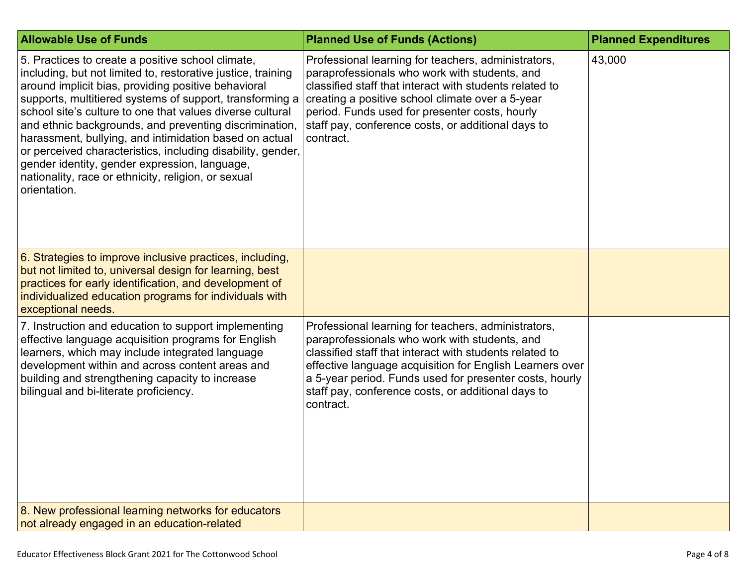| <b>Allowable Use of Funds</b>                                                                                                                                                                                                                                                                                                                                                                                                                                                                                                                                                                                | <b>Planned Use of Funds (Actions)</b>                                                                                                                                                                                                                                                                                                                     | <b>Planned Expenditures</b> |
|--------------------------------------------------------------------------------------------------------------------------------------------------------------------------------------------------------------------------------------------------------------------------------------------------------------------------------------------------------------------------------------------------------------------------------------------------------------------------------------------------------------------------------------------------------------------------------------------------------------|-----------------------------------------------------------------------------------------------------------------------------------------------------------------------------------------------------------------------------------------------------------------------------------------------------------------------------------------------------------|-----------------------------|
| 5. Practices to create a positive school climate,<br>including, but not limited to, restorative justice, training<br>around implicit bias, providing positive behavioral<br>supports, multitiered systems of support, transforming a<br>school site's culture to one that values diverse cultural<br>and ethnic backgrounds, and preventing discrimination,<br>harassment, bullying, and intimidation based on actual<br>or perceived characteristics, including disability, gender,<br>gender identity, gender expression, language,<br>nationality, race or ethnicity, religion, or sexual<br>orientation. | Professional learning for teachers, administrators,<br>paraprofessionals who work with students, and<br>classified staff that interact with students related to<br>creating a positive school climate over a 5-year<br>period. Funds used for presenter costs, hourly<br>staff pay, conference costs, or additional days to<br>contract.                  | 43,000                      |
| 6. Strategies to improve inclusive practices, including,<br>but not limited to, universal design for learning, best<br>practices for early identification, and development of<br>individualized education programs for individuals with<br>exceptional needs.                                                                                                                                                                                                                                                                                                                                                |                                                                                                                                                                                                                                                                                                                                                           |                             |
| 7. Instruction and education to support implementing<br>effective language acquisition programs for English<br>learners, which may include integrated language<br>development within and across content areas and<br>building and strengthening capacity to increase<br>bilingual and bi-literate proficiency.                                                                                                                                                                                                                                                                                               | Professional learning for teachers, administrators,<br>paraprofessionals who work with students, and<br>classified staff that interact with students related to<br>effective language acquisition for English Learners over<br>a 5-year period. Funds used for presenter costs, hourly<br>staff pay, conference costs, or additional days to<br>contract. |                             |
| 8. New professional learning networks for educators<br>not already engaged in an education-related                                                                                                                                                                                                                                                                                                                                                                                                                                                                                                           |                                                                                                                                                                                                                                                                                                                                                           |                             |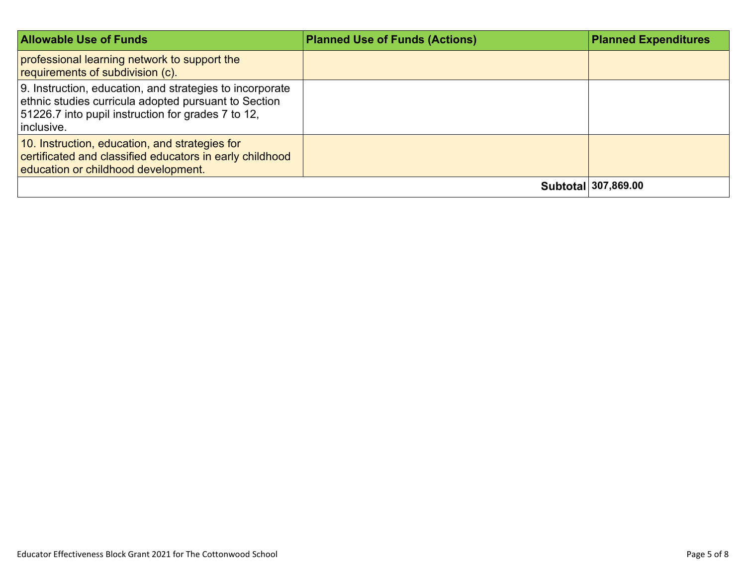| <b>Allowable Use of Funds</b>                                                                                                                                                        | <b>Planned Use of Funds (Actions)</b> | <b>Planned Expenditures</b> |
|--------------------------------------------------------------------------------------------------------------------------------------------------------------------------------------|---------------------------------------|-----------------------------|
| professional learning network to support the<br>requirements of subdivision (c).                                                                                                     |                                       |                             |
| 9. Instruction, education, and strategies to incorporate<br>ethnic studies curricula adopted pursuant to Section<br>51226.7 into pupil instruction for grades 7 to 12.<br>inclusive. |                                       |                             |
| 10. Instruction, education, and strategies for<br>certificated and classified educators in early childhood<br>education or childhood development.                                    |                                       |                             |
|                                                                                                                                                                                      |                                       | Subtotal 307,869.00         |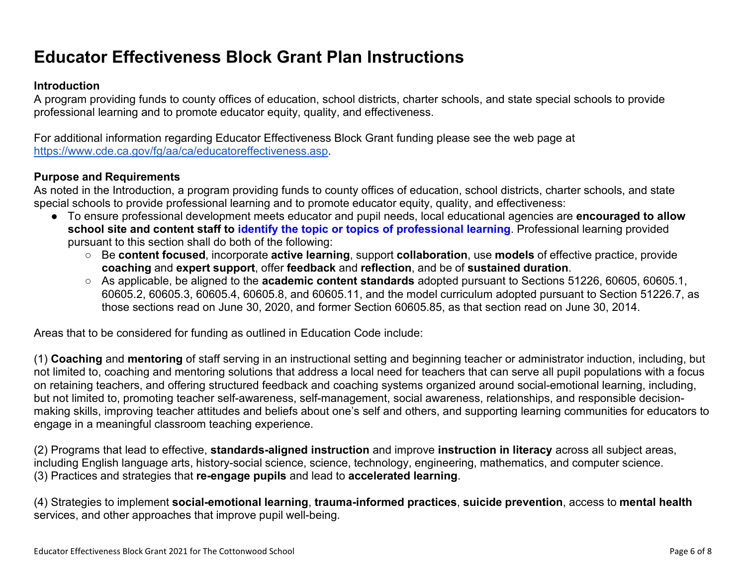# **Educator Effectiveness Block Grant Plan Instructions**

#### **Introduction**

A program providing funds to county offices of education, school districts, charter schools, and state special schools to provide professional learning and to promote educator equity, quality, and effectiveness.

For additional information regarding Educator Effectiveness Block Grant funding please see the web page at [https://www.cde.ca.gov/fg/aa/ca/educatoreffectiveness.asp.](https://www.cde.ca.gov/fg/aa/ca/educatoreffectiveness.asp)

#### **Purpose and Requirements**

As noted in the Introduction, a program providing funds to county offices of education, school districts, charter schools, and state special schools to provide professional learning and to promote educator equity, quality, and effectiveness:

- To ensure professional development meets educator and pupil needs, local educational agencies are **encouraged to allow school site and content staff to identify the topic or topics of professional learning**. Professional learning provided pursuant to this section shall do both of the following:
	- Be **content focused**, incorporate **active learning**, support **collaboration**, use **models** of effective practice, provide **coaching** and **expert support**, offer **feedback** and **reflection**, and be of **sustained duration**.
	- As applicable, be aligned to the **academic content standards** adopted pursuant to Sections 51226, 60605, 60605.1, 60605.2, 60605.3, 60605.4, 60605.8, and 60605.11, and the model curriculum adopted pursuant to Section 51226.7, as those sections read on June 30, 2020, and former Section 60605.85, as that section read on June 30, 2014.

Areas that to be considered for funding as outlined in Education Code include:

(1) **Coaching** and **mentoring** of staff serving in an instructional setting and beginning teacher or administrator induction, including, but not limited to, coaching and mentoring solutions that address a local need for teachers that can serve all pupil populations with a focus on retaining teachers, and offering structured feedback and coaching systems organized around social-emotional learning, including, but not limited to, promoting teacher self-awareness, self-management, social awareness, relationships, and responsible decisionmaking skills, improving teacher attitudes and beliefs about one's self and others, and supporting learning communities for educators to engage in a meaningful classroom teaching experience.

(2) Programs that lead to effective, **standards-aligned instruction** and improve **instruction in literacy** across all subject areas, including English language arts, history-social science, science, technology, engineering, mathematics, and computer science. (3) Practices and strategies that **re-engage pupils** and lead to **accelerated learning**.

(4) Strategies to implement **social-emotional learning**, **trauma-informed practices**, **suicide prevention**, access to **mental health** services, and other approaches that improve pupil well-being.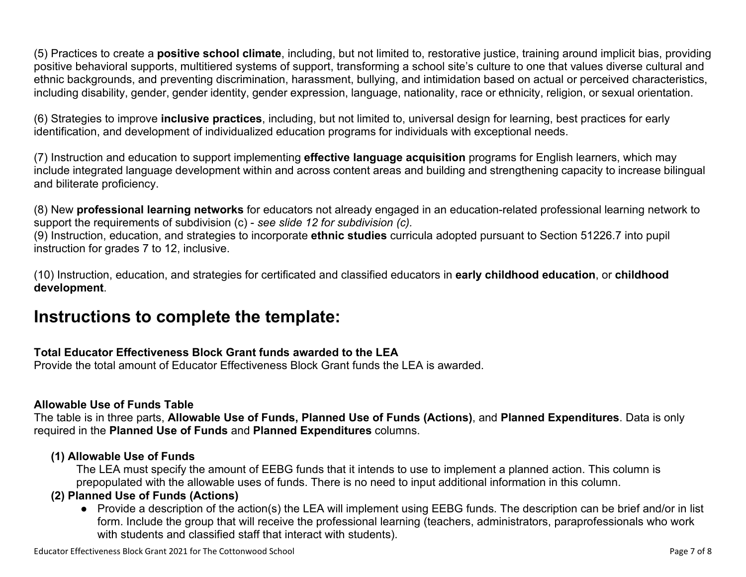(5) Practices to create a **positive school climate**, including, but not limited to, restorative justice, training around implicit bias, providing positive behavioral supports, multitiered systems of support, transforming a school site's culture to one that values diverse cultural and ethnic backgrounds, and preventing discrimination, harassment, bullying, and intimidation based on actual or perceived characteristics, including disability, gender, gender identity, gender expression, language, nationality, race or ethnicity, religion, or sexual orientation.

(6) Strategies to improve **inclusive practices**, including, but not limited to, universal design for learning, best practices for early identification, and development of individualized education programs for individuals with exceptional needs.

(7) Instruction and education to support implementing **effective language acquisition** programs for English learners, which may include integrated language development within and across content areas and building and strengthening capacity to increase bilingual and biliterate proficiency.

(8) New **professional learning networks** for educators not already engaged in an education-related professional learning network to support the requirements of subdivision (c) - *see slide 12 for subdivision (c).*

(9) Instruction, education, and strategies to incorporate **ethnic studies** curricula adopted pursuant to Section 51226.7 into pupil instruction for grades 7 to 12, inclusive.

(10) Instruction, education, and strategies for certificated and classified educators in **early childhood education**, or **childhood development**.

## **Instructions to complete the template:**

### **Total Educator Effectiveness Block Grant funds awarded to the LEA**

Provide the total amount of Educator Effectiveness Block Grant funds the LEA is awarded.

#### **Allowable Use of Funds Table**

The table is in three parts, **Allowable Use of Funds, Planned Use of Funds (Actions)**, and **Planned Expenditures**. Data is only required in the **Planned Use of Funds** and **Planned Expenditures** columns.

### **(1) Allowable Use of Funds**

The LEA must specify the amount of EEBG funds that it intends to use to implement a planned action. This column is prepopulated with the allowable uses of funds. There is no need to input additional information in this column.

## **(2) Planned Use of Funds (Actions)**

● Provide a description of the action(s) the LEA will implement using EEBG funds. The description can be brief and/or in list form. Include the group that will receive the professional learning (teachers, administrators, paraprofessionals who work with students and classified staff that interact with students).